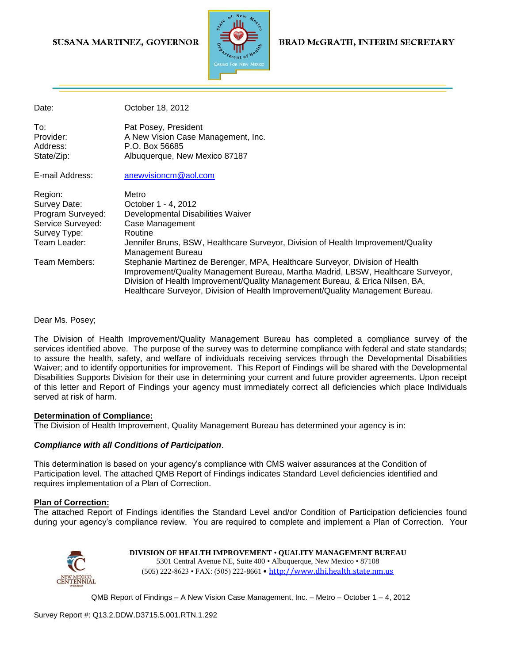### SUSANA MARTINEZ, GOVERNOR



### **BRAD McGRATH, INTERIM SECRETARY**

Date: **Date:** October 18, 2012

To: Pat Posey, President Provider: A New Vision Case Management, Inc. Address: P.O. Box 56685 State/Zip: Albuquerque, New Mexico 87187

E-mail Address: [anewvisioncm@aol.com](mailto:anewvisioncm@aol.com)

| Region:           | Metro                                                                                                                                                                                                                                                                                                                               |  |
|-------------------|-------------------------------------------------------------------------------------------------------------------------------------------------------------------------------------------------------------------------------------------------------------------------------------------------------------------------------------|--|
| Survey Date:      | October 1 - 4, 2012                                                                                                                                                                                                                                                                                                                 |  |
| Program Surveyed: | Developmental Disabilities Waiver                                                                                                                                                                                                                                                                                                   |  |
| Service Surveyed: | Case Management                                                                                                                                                                                                                                                                                                                     |  |
| Survey Type:      | Routine                                                                                                                                                                                                                                                                                                                             |  |
| Team Leader:      | Jennifer Bruns, BSW, Healthcare Surveyor, Division of Health Improvement/Quality<br>Management Bureau                                                                                                                                                                                                                               |  |
| Team Members:     | Stephanie Martinez de Berenger, MPA, Healthcare Surveyor, Division of Health<br>Improvement/Quality Management Bureau, Martha Madrid, LBSW, Healthcare Surveyor,<br>Division of Health Improvement/Quality Management Bureau, & Erica Nilsen, BA,<br>Healthcare Surveyor, Division of Health Improvement/Quality Management Bureau. |  |

Dear Ms. Posey;

The Division of Health Improvement/Quality Management Bureau has completed a compliance survey of the services identified above. The purpose of the survey was to determine compliance with federal and state standards; to assure the health, safety, and welfare of individuals receiving services through the Developmental Disabilities Waiver; and to identify opportunities for improvement. This Report of Findings will be shared with the Developmental Disabilities Supports Division for their use in determining your current and future provider agreements. Upon receipt of this letter and Report of Findings your agency must immediately correct all deficiencies which place Individuals served at risk of harm.

#### **Determination of Compliance:**

The Division of Health Improvement, Quality Management Bureau has determined your agency is in:

#### *Compliance with all Conditions of Participation*.

This determination is based on your agency's compliance with CMS waiver assurances at the Condition of Participation level. The attached QMB Report of Findings indicates Standard Level deficiencies identified and requires implementation of a Plan of Correction.

#### **Plan of Correction:**

The attached Report of Findings identifies the Standard Level and/or Condition of Participation deficiencies found during your agency's compliance review. You are required to complete and implement a Plan of Correction. Your



**DIVISION OF HEALTH IMPROVEMENT** • **QUALITY MANAGEMENT BUREAU** 5301 Central Avenue NE, Suite 400 • Albuquerque, New Mexico • 87108 (505) 222-8623 • FAX: (505) 222-8661 • http://www.dhi.health.state.nm.us

QMB Report of Findings – A New Vision Case Management, Inc. – Metro – October 1 – 4, 2012

Survey Report #: Q13.2.DDW.D3715.5.001.RTN.1.292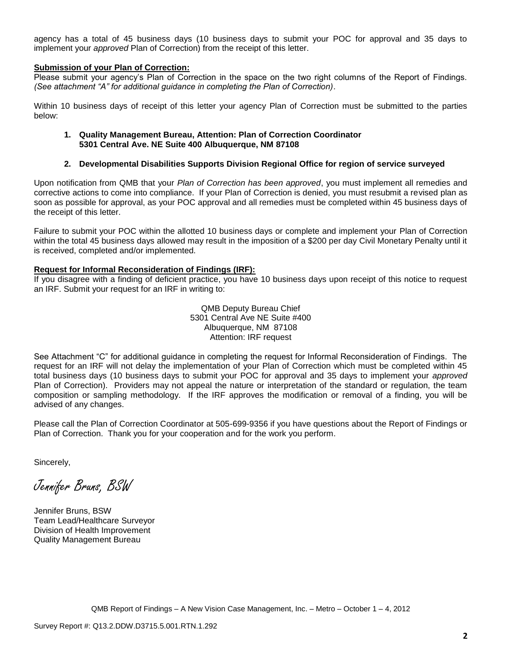agency has a total of 45 business days (10 business days to submit your POC for approval and 35 days to implement your *approved* Plan of Correction) from the receipt of this letter.

#### **Submission of your Plan of Correction:**

Please submit your agency's Plan of Correction in the space on the two right columns of the Report of Findings. *(See attachment "A" for additional guidance in completing the Plan of Correction)*.

Within 10 business days of receipt of this letter your agency Plan of Correction must be submitted to the parties below:

#### **1. Quality Management Bureau, Attention: Plan of Correction Coordinator 5301 Central Ave. NE Suite 400 Albuquerque, NM 87108**

#### **2. Developmental Disabilities Supports Division Regional Office for region of service surveyed**

Upon notification from QMB that your *Plan of Correction has been approved*, you must implement all remedies and corrective actions to come into compliance. If your Plan of Correction is denied, you must resubmit a revised plan as soon as possible for approval, as your POC approval and all remedies must be completed within 45 business days of the receipt of this letter.

Failure to submit your POC within the allotted 10 business days or complete and implement your Plan of Correction within the total 45 business days allowed may result in the imposition of a \$200 per day Civil Monetary Penalty until it is received, completed and/or implemented.

#### **Request for Informal Reconsideration of Findings (IRF):**

If you disagree with a finding of deficient practice, you have 10 business days upon receipt of this notice to request an IRF. Submit your request for an IRF in writing to:

> QMB Deputy Bureau Chief 5301 Central Ave NE Suite #400 Albuquerque, NM 87108 Attention: IRF request

See Attachment "C" for additional guidance in completing the request for Informal Reconsideration of Findings. The request for an IRF will not delay the implementation of your Plan of Correction which must be completed within 45 total business days (10 business days to submit your POC for approval and 35 days to implement your *approved* Plan of Correction). Providers may not appeal the nature or interpretation of the standard or regulation, the team composition or sampling methodology. If the IRF approves the modification or removal of a finding, you will be advised of any changes.

Please call the Plan of Correction Coordinator at 505-699-9356 if you have questions about the Report of Findings or Plan of Correction. Thank you for your cooperation and for the work you perform.

Sincerely,

Jennifer Bruns, BSW

Jennifer Bruns, BSW Team Lead/Healthcare Surveyor Division of Health Improvement Quality Management Bureau

QMB Report of Findings – A New Vision Case Management, Inc. – Metro – October 1 – 4, 2012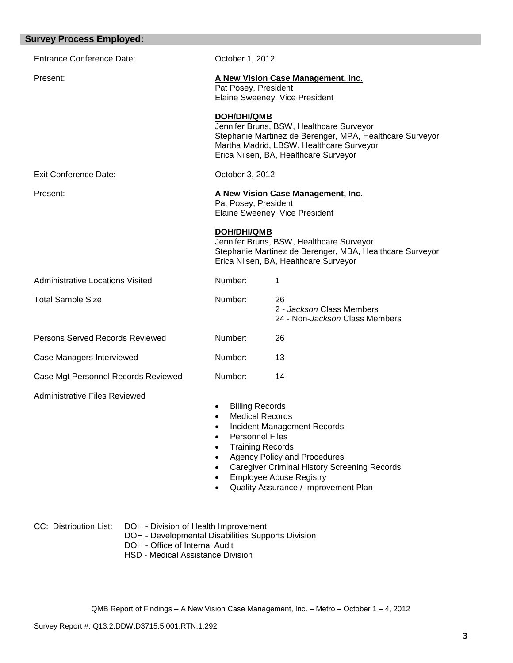| <b>Survey Process Employed:</b>         |                                                                                         |                                                                                                                                                                                                                                       |
|-----------------------------------------|-----------------------------------------------------------------------------------------|---------------------------------------------------------------------------------------------------------------------------------------------------------------------------------------------------------------------------------------|
| <b>Entrance Conference Date:</b>        | October 1, 2012                                                                         |                                                                                                                                                                                                                                       |
| Present:                                | Pat Posey, President                                                                    | A New Vision Case Management, Inc.<br>Elaine Sweeney, Vice President                                                                                                                                                                  |
|                                         | <b>DOH/DHI/QMB</b>                                                                      | Jennifer Bruns, BSW, Healthcare Surveyor<br>Stephanie Martinez de Berenger, MPA, Healthcare Surveyor<br>Martha Madrid, LBSW, Healthcare Surveyor<br>Erica Nilsen, BA, Healthcare Surveyor                                             |
| <b>Exit Conference Date:</b>            | October 3, 2012                                                                         |                                                                                                                                                                                                                                       |
| Present:                                | Pat Posey, President                                                                    | A New Vision Case Management, Inc.<br>Elaine Sweeney, Vice President                                                                                                                                                                  |
|                                         | <b>DOH/DHI/QMB</b>                                                                      | Jennifer Bruns, BSW, Healthcare Surveyor<br>Stephanie Martinez de Berenger, MBA, Healthcare Surveyor<br>Erica Nilsen, BA, Healthcare Surveyor                                                                                         |
| <b>Administrative Locations Visited</b> | Number:                                                                                 | 1                                                                                                                                                                                                                                     |
| <b>Total Sample Size</b>                | Number:                                                                                 | 26<br>2 - Jackson Class Members<br>24 - Non-Jackson Class Members                                                                                                                                                                     |
| Persons Served Records Reviewed         | Number:                                                                                 | 26                                                                                                                                                                                                                                    |
| Case Managers Interviewed               | Number:                                                                                 | 13                                                                                                                                                                                                                                    |
| Case Mgt Personnel Records Reviewed     | Number:                                                                                 | 14                                                                                                                                                                                                                                    |
| <b>Administrative Files Reviewed</b>    | <b>Billing Records</b><br>$\bullet$<br><b>Medical Records</b><br><b>Personnel Files</b> | <b>Incident Management Records</b><br><b>Training Records</b><br><b>Agency Policy and Procedures</b><br><b>Caregiver Criminal History Screening Records</b><br><b>Employee Abuse Registry</b><br>Quality Assurance / Improvement Plan |

CC: Distribution List: DOH - Division of Health Improvement DOH - Developmental Disabilities Supports Division DOH - Office of Internal Audit HSD - Medical Assistance Division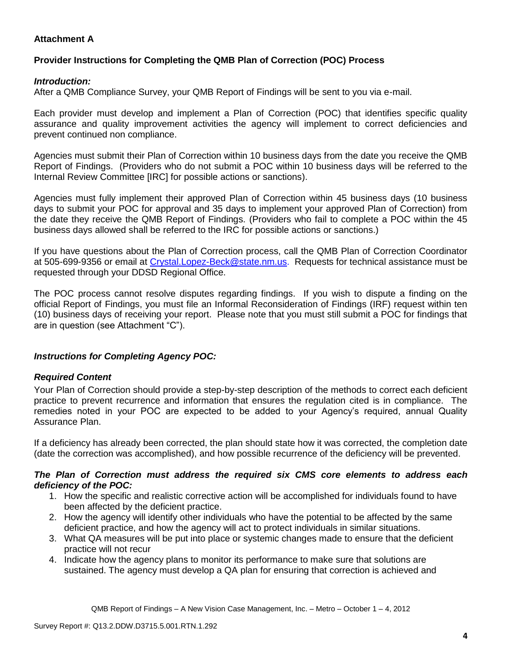# **Attachment A**

# **Provider Instructions for Completing the QMB Plan of Correction (POC) Process**

### *Introduction:*

After a QMB Compliance Survey, your QMB Report of Findings will be sent to you via e-mail.

Each provider must develop and implement a Plan of Correction (POC) that identifies specific quality assurance and quality improvement activities the agency will implement to correct deficiencies and prevent continued non compliance.

Agencies must submit their Plan of Correction within 10 business days from the date you receive the QMB Report of Findings. (Providers who do not submit a POC within 10 business days will be referred to the Internal Review Committee [IRC] for possible actions or sanctions).

Agencies must fully implement their approved Plan of Correction within 45 business days (10 business days to submit your POC for approval and 35 days to implement your approved Plan of Correction) from the date they receive the QMB Report of Findings. (Providers who fail to complete a POC within the 45 business days allowed shall be referred to the IRC for possible actions or sanctions.)

If you have questions about the Plan of Correction process, call the QMB Plan of Correction Coordinator at 505-699-9356 or email at Crystal.Lopez-Beck@state.nm.us. Requests for technical assistance must be requested through your DDSD Regional Office.

The POC process cannot resolve disputes regarding findings. If you wish to dispute a finding on the official Report of Findings, you must file an Informal Reconsideration of Findings (IRF) request within ten (10) business days of receiving your report. Please note that you must still submit a POC for findings that are in question (see Attachment "C").

## *Instructions for Completing Agency POC:*

## *Required Content*

Your Plan of Correction should provide a step-by-step description of the methods to correct each deficient practice to prevent recurrence and information that ensures the regulation cited is in compliance. The remedies noted in your POC are expected to be added to your Agency's required, annual Quality Assurance Plan.

If a deficiency has already been corrected, the plan should state how it was corrected, the completion date (date the correction was accomplished), and how possible recurrence of the deficiency will be prevented.

### *The Plan of Correction must address the required six CMS core elements to address each deficiency of the POC:*

- 1. How the specific and realistic corrective action will be accomplished for individuals found to have been affected by the deficient practice.
- 2. How the agency will identify other individuals who have the potential to be affected by the same deficient practice, and how the agency will act to protect individuals in similar situations.
- 3. What QA measures will be put into place or systemic changes made to ensure that the deficient practice will not recur
- 4. Indicate how the agency plans to monitor its performance to make sure that solutions are sustained. The agency must develop a QA plan for ensuring that correction is achieved and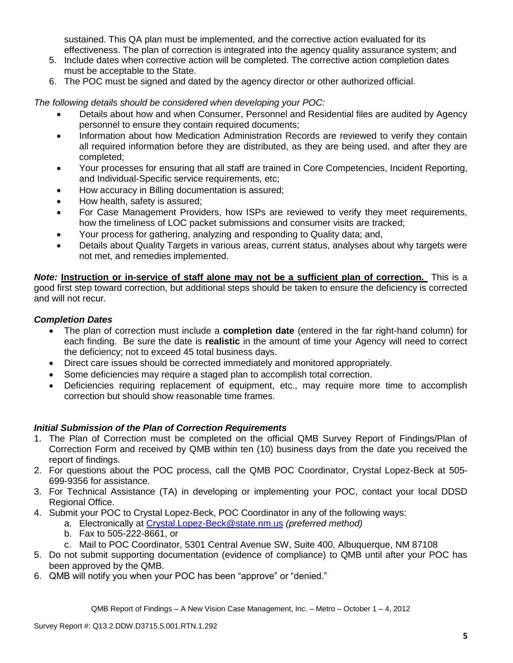sustained. This QA plan must be implemented, and the corrective action evaluated for its effectiveness. The plan of correction is integrated into the agency quality assurance system; and

- 5. Include dates when corrective action will be completed. The corrective action completion dates must be acceptable to the State.
- 6. The POC must be signed and dated by the agency director or other authorized official.

*The following details should be considered when developing your POC:*

- Details about how and when Consumer, Personnel and Residential files are audited by Agency personnel to ensure they contain required documents;
- Information about how Medication Administration Records are reviewed to verify they contain all required information before they are distributed, as they are being used, and after they are completed;
- Your processes for ensuring that all staff are trained in Core Competencies, Incident Reporting, and Individual-Specific service requirements, etc;
- How accuracy in Billing documentation is assured;
- How health, safety is assured;
- For Case Management Providers, how ISPs are reviewed to verify they meet requirements, how the timeliness of LOC packet submissions and consumer visits are tracked;
- Your process for gathering, analyzing and responding to Quality data; and,
- Details about Quality Targets in various areas, current status, analyses about why targets were not met, and remedies implemented.

*Note:* **Instruction or in-service of staff alone may not be a sufficient plan of correction.** This is a good first step toward correction, but additional steps should be taken to ensure the deficiency is corrected and will not recur.

## *Completion Dates*

- The plan of correction must include a **completion date** (entered in the far right-hand column) for each finding. Be sure the date is **realistic** in the amount of time your Agency will need to correct the deficiency; not to exceed 45 total business days.
- Direct care issues should be corrected immediately and monitored appropriately.
- Some deficiencies may require a staged plan to accomplish total correction.
- Deficiencies requiring replacement of equipment, etc., may require more time to accomplish correction but should show reasonable time frames.

## *Initial Submission of the Plan of Correction Requirements*

- 1. The Plan of Correction must be completed on the official QMB Survey Report of Findings/Plan of Correction Form and received by QMB within ten (10) business days from the date you received the report of findings.
- 2. For questions about the POC process, call the QMB POC Coordinator, Crystal Lopez-Beck at 505- 699-9356 for assistance.
- 3. For Technical Assistance (TA) in developing or implementing your POC, contact your local DDSD Regional Office.
- 4. Submit your POC to Crystal Lopez-Beck, POC Coordinator in any of the following ways:
	- a. Electronically at Crystal.Lopez-Beck@state.nm.us *(preferred method)*
	- b. Fax to 505-222-8661, or
	- c. Mail to POC Coordinator, 5301 Central Avenue SW, Suite 400, Albuquerque, NM 87108
- 5. Do not submit supporting documentation (evidence of compliance) to QMB until after your POC has been approved by the QMB.
- 6. QMB will notify you when your POC has been "approve" or "denied."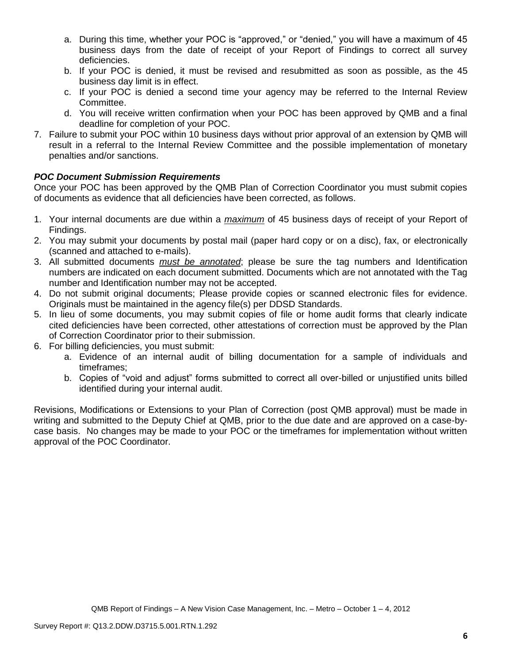- a. During this time, whether your POC is "approved," or "denied," you will have a maximum of 45 business days from the date of receipt of your Report of Findings to correct all survey deficiencies.
- b. If your POC is denied, it must be revised and resubmitted as soon as possible, as the 45 business day limit is in effect.
- c. If your POC is denied a second time your agency may be referred to the Internal Review Committee.
- d. You will receive written confirmation when your POC has been approved by QMB and a final deadline for completion of your POC.
- 7. Failure to submit your POC within 10 business days without prior approval of an extension by QMB will result in a referral to the Internal Review Committee and the possible implementation of monetary penalties and/or sanctions.

# *POC Document Submission Requirements*

Once your POC has been approved by the QMB Plan of Correction Coordinator you must submit copies of documents as evidence that all deficiencies have been corrected, as follows.

- 1. Your internal documents are due within a *maximum* of 45 business days of receipt of your Report of Findings.
- 2. You may submit your documents by postal mail (paper hard copy or on a disc), fax, or electronically (scanned and attached to e-mails).
- 3. All submitted documents *must be annotated*; please be sure the tag numbers and Identification numbers are indicated on each document submitted. Documents which are not annotated with the Tag number and Identification number may not be accepted.
- 4. Do not submit original documents; Please provide copies or scanned electronic files for evidence. Originals must be maintained in the agency file(s) per DDSD Standards.
- 5. In lieu of some documents, you may submit copies of file or home audit forms that clearly indicate cited deficiencies have been corrected, other attestations of correction must be approved by the Plan of Correction Coordinator prior to their submission.
- 6. For billing deficiencies, you must submit:
	- a. Evidence of an internal audit of billing documentation for a sample of individuals and timeframes;
	- b. Copies of "void and adjust" forms submitted to correct all over-billed or unjustified units billed identified during your internal audit.

Revisions, Modifications or Extensions to your Plan of Correction (post QMB approval) must be made in writing and submitted to the Deputy Chief at QMB, prior to the due date and are approved on a case-bycase basis. No changes may be made to your POC or the timeframes for implementation without written approval of the POC Coordinator.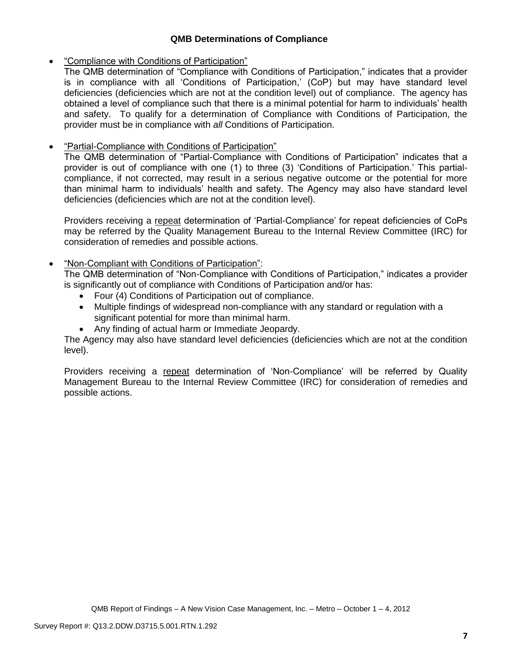## **QMB Determinations of Compliance**

## "Compliance with Conditions of Participation"

The QMB determination of "Compliance with Conditions of Participation," indicates that a provider is in compliance with all 'Conditions of Participation,' (CoP) but may have standard level deficiencies (deficiencies which are not at the condition level) out of compliance. The agency has obtained a level of compliance such that there is a minimal potential for harm to individuals' health and safety. To qualify for a determination of Compliance with Conditions of Participation, the provider must be in compliance with *all* Conditions of Participation.

# "Partial-Compliance with Conditions of Participation"

The QMB determination of "Partial-Compliance with Conditions of Participation" indicates that a provider is out of compliance with one (1) to three (3) 'Conditions of Participation.' This partialcompliance, if not corrected, may result in a serious negative outcome or the potential for more than minimal harm to individuals' health and safety. The Agency may also have standard level deficiencies (deficiencies which are not at the condition level).

Providers receiving a repeat determination of 'Partial-Compliance' for repeat deficiencies of CoPs may be referred by the Quality Management Bureau to the Internal Review Committee (IRC) for consideration of remedies and possible actions.

# "Non-Compliant with Conditions of Participation":

The QMB determination of "Non-Compliance with Conditions of Participation," indicates a provider is significantly out of compliance with Conditions of Participation and/or has:

- Four (4) Conditions of Participation out of compliance.
- Multiple findings of widespread non-compliance with any standard or regulation with a significant potential for more than minimal harm.
- Any finding of actual harm or Immediate Jeopardy.

The Agency may also have standard level deficiencies (deficiencies which are not at the condition level).

Providers receiving a repeat determination of 'Non-Compliance' will be referred by Quality Management Bureau to the Internal Review Committee (IRC) for consideration of remedies and possible actions.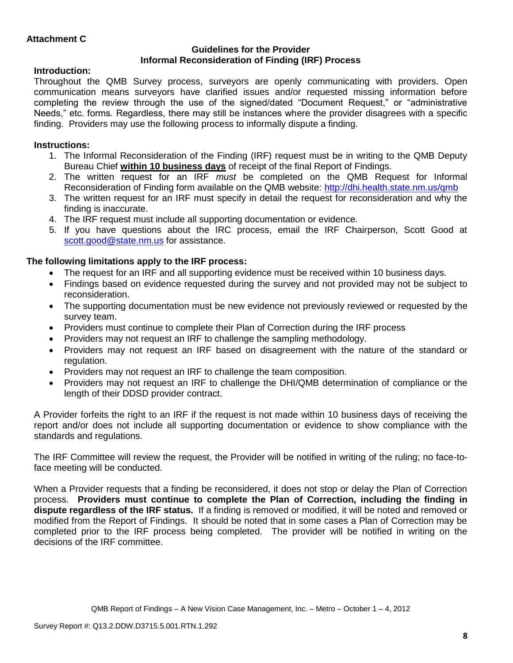### **Guidelines for the Provider Informal Reconsideration of Finding (IRF) Process**

# **Introduction:**

Throughout the QMB Survey process, surveyors are openly communicating with providers. Open communication means surveyors have clarified issues and/or requested missing information before completing the review through the use of the signed/dated "Document Request," or "administrative Needs," etc. forms. Regardless, there may still be instances where the provider disagrees with a specific finding. Providers may use the following process to informally dispute a finding.

# **Instructions:**

- 1. The Informal Reconsideration of the Finding (IRF) request must be in writing to the QMB Deputy Bureau Chief **within 10 business days** of receipt of the final Report of Findings.
- 2. The written request for an IRF *must* be completed on the QMB Request for Informal Reconsideration of Finding form available on the QMB website:<http://dhi.health.state.nm.us/qmb>
- 3. The written request for an IRF must specify in detail the request for reconsideration and why the finding is inaccurate.
- 4. The IRF request must include all supporting documentation or evidence.
- 5. If you have questions about the IRC process, email the IRF Chairperson, Scott Good at [scott.good@state.nm.us](mailto:scott.good@state.nm.us) for assistance.

# **The following limitations apply to the IRF process:**

- The request for an IRF and all supporting evidence must be received within 10 business days.
- Findings based on evidence requested during the survey and not provided may not be subject to reconsideration.
- The supporting documentation must be new evidence not previously reviewed or requested by the survey team.
- Providers must continue to complete their Plan of Correction during the IRF process
- Providers may not request an IRF to challenge the sampling methodology.
- Providers may not request an IRF based on disagreement with the nature of the standard or regulation.
- Providers may not request an IRF to challenge the team composition.
- Providers may not request an IRF to challenge the DHI/QMB determination of compliance or the length of their DDSD provider contract.

A Provider forfeits the right to an IRF if the request is not made within 10 business days of receiving the report and/or does not include all supporting documentation or evidence to show compliance with the standards and regulations.

The IRF Committee will review the request, the Provider will be notified in writing of the ruling; no face-toface meeting will be conducted.

When a Provider requests that a finding be reconsidered, it does not stop or delay the Plan of Correction process. **Providers must continue to complete the Plan of Correction, including the finding in dispute regardless of the IRF status.** If a finding is removed or modified, it will be noted and removed or modified from the Report of Findings. It should be noted that in some cases a Plan of Correction may be completed prior to the IRF process being completed. The provider will be notified in writing on the decisions of the IRF committee.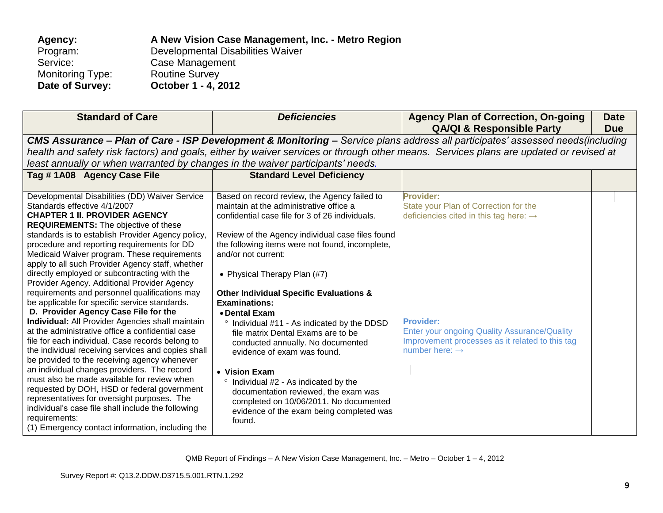| Agency:                 | A New Vision Case Management, Inc. - Metro Region |
|-------------------------|---------------------------------------------------|
| Program:                | Developmental Disabilities Waiver                 |
| Service:                | Case Management                                   |
| <b>Monitoring Type:</b> | <b>Routine Survey</b>                             |
| Date of Survey:         | October 1 - 4, 2012                               |

| <b>Standard of Care</b>                                                                                                                                                                                                                                                                                                                                                                                                                                                                                                                                                                                                                                                                                                                                                                                                                                                                                                                                                                                                                                                                                                                                                                                               | <b>Deficiencies</b>                                                                                                                                                                                                                                                                                                                                                                                                                                                                                                                                                                                                                                                                                                                                                    | <b>Agency Plan of Correction, On-going</b><br><b>QA/QI &amp; Responsible Party</b>                                                                                                                                                                                   | <b>Date</b><br><b>Due</b> |
|-----------------------------------------------------------------------------------------------------------------------------------------------------------------------------------------------------------------------------------------------------------------------------------------------------------------------------------------------------------------------------------------------------------------------------------------------------------------------------------------------------------------------------------------------------------------------------------------------------------------------------------------------------------------------------------------------------------------------------------------------------------------------------------------------------------------------------------------------------------------------------------------------------------------------------------------------------------------------------------------------------------------------------------------------------------------------------------------------------------------------------------------------------------------------------------------------------------------------|------------------------------------------------------------------------------------------------------------------------------------------------------------------------------------------------------------------------------------------------------------------------------------------------------------------------------------------------------------------------------------------------------------------------------------------------------------------------------------------------------------------------------------------------------------------------------------------------------------------------------------------------------------------------------------------------------------------------------------------------------------------------|----------------------------------------------------------------------------------------------------------------------------------------------------------------------------------------------------------------------------------------------------------------------|---------------------------|
|                                                                                                                                                                                                                                                                                                                                                                                                                                                                                                                                                                                                                                                                                                                                                                                                                                                                                                                                                                                                                                                                                                                                                                                                                       | CMS Assurance - Plan of Care - ISP Development & Monitoring - Service plans address all participates' assessed needs(including                                                                                                                                                                                                                                                                                                                                                                                                                                                                                                                                                                                                                                         |                                                                                                                                                                                                                                                                      |                           |
| least annually or when warranted by changes in the waiver participants' needs.                                                                                                                                                                                                                                                                                                                                                                                                                                                                                                                                                                                                                                                                                                                                                                                                                                                                                                                                                                                                                                                                                                                                        | health and safety risk factors) and goals, either by waiver services or through other means. Services plans are updated or revised at                                                                                                                                                                                                                                                                                                                                                                                                                                                                                                                                                                                                                                  |                                                                                                                                                                                                                                                                      |                           |
| Tag #1A08 Agency Case File                                                                                                                                                                                                                                                                                                                                                                                                                                                                                                                                                                                                                                                                                                                                                                                                                                                                                                                                                                                                                                                                                                                                                                                            | <b>Standard Level Deficiency</b>                                                                                                                                                                                                                                                                                                                                                                                                                                                                                                                                                                                                                                                                                                                                       |                                                                                                                                                                                                                                                                      |                           |
| Developmental Disabilities (DD) Waiver Service<br>Standards effective 4/1/2007<br><b>CHAPTER 1 II. PROVIDER AGENCY</b><br><b>REQUIREMENTS:</b> The objective of these<br>standards is to establish Provider Agency policy,<br>procedure and reporting requirements for DD<br>Medicaid Waiver program. These requirements<br>apply to all such Provider Agency staff, whether<br>directly employed or subcontracting with the<br>Provider Agency. Additional Provider Agency<br>requirements and personnel qualifications may<br>be applicable for specific service standards.<br>D. Provider Agency Case File for the<br><b>Individual:</b> All Provider Agencies shall maintain<br>at the administrative office a confidential case<br>file for each individual. Case records belong to<br>the individual receiving services and copies shall<br>be provided to the receiving agency whenever<br>an individual changes providers. The record<br>must also be made available for review when<br>requested by DOH, HSD or federal government<br>representatives for oversight purposes. The<br>individual's case file shall include the following<br>requirements:<br>(1) Emergency contact information, including the | Based on record review, the Agency failed to<br>maintain at the administrative office a<br>confidential case file for 3 of 26 individuals.<br>Review of the Agency individual case files found<br>the following items were not found, incomplete,<br>and/or not current:<br>• Physical Therapy Plan (#7)<br><b>Other Individual Specific Evaluations &amp;</b><br>Examinations:<br>• Dental Exam<br>° Individual #11 - As indicated by the DDSD<br>file matrix Dental Exams are to be<br>conducted annually. No documented<br>evidence of exam was found.<br>• Vision Exam<br><sup>o</sup> Individual #2 - As indicated by the<br>documentation reviewed, the exam was<br>completed on 10/06/2011. No documented<br>evidence of the exam being completed was<br>found. | <b>Provider:</b><br>State your Plan of Correction for the<br>deficiencies cited in this tag here: $\rightarrow$<br><b>Provider:</b><br>Enter your ongoing Quality Assurance/Quality<br>Improvement processes as it related to this tag<br>number here: $\rightarrow$ |                           |

QMB Report of Findings – A New Vision Case Management, Inc. – Metro – October 1 – 4, 2012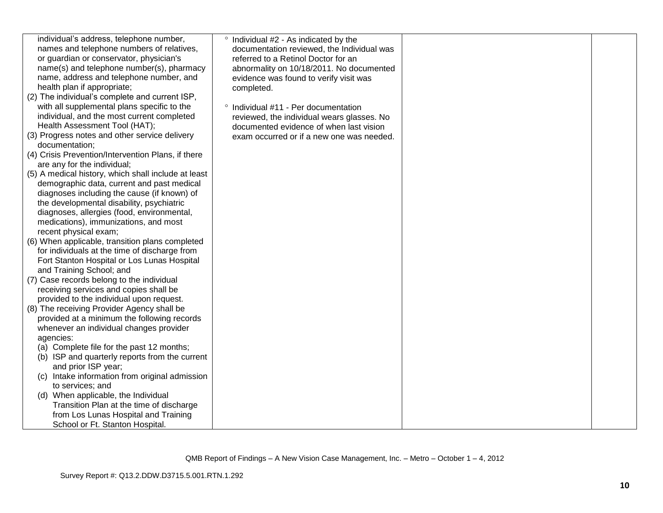| individual's address, telephone number,<br>names and telephone numbers of relatives,<br>or guardian or conservator, physician's<br>name(s) and telephone number(s), pharmacy<br>name, address and telephone number, and<br>health plan if appropriate;<br>(2) The individual's complete and current ISP, | ° Individual #2 - As indicated by the<br>documentation reviewed, the Individual was<br>referred to a Retinol Doctor for an<br>abnormality on 10/18/2011. No documented<br>evidence was found to verify visit was<br>completed. |  |
|----------------------------------------------------------------------------------------------------------------------------------------------------------------------------------------------------------------------------------------------------------------------------------------------------------|--------------------------------------------------------------------------------------------------------------------------------------------------------------------------------------------------------------------------------|--|
| with all supplemental plans specific to the                                                                                                                                                                                                                                                              | Individual #11 - Per documentation<br>$\circ$                                                                                                                                                                                  |  |
| individual, and the most current completed                                                                                                                                                                                                                                                               | reviewed, the individual wears glasses. No                                                                                                                                                                                     |  |
| Health Assessment Tool (HAT);                                                                                                                                                                                                                                                                            | documented evidence of when last vision                                                                                                                                                                                        |  |
| (3) Progress notes and other service delivery<br>documentation;                                                                                                                                                                                                                                          | exam occurred or if a new one was needed.                                                                                                                                                                                      |  |
| (4) Crisis Prevention/Intervention Plans, if there                                                                                                                                                                                                                                                       |                                                                                                                                                                                                                                |  |
| are any for the individual;                                                                                                                                                                                                                                                                              |                                                                                                                                                                                                                                |  |
| (5) A medical history, which shall include at least                                                                                                                                                                                                                                                      |                                                                                                                                                                                                                                |  |
| demographic data, current and past medical<br>diagnoses including the cause (if known) of                                                                                                                                                                                                                |                                                                                                                                                                                                                                |  |
| the developmental disability, psychiatric                                                                                                                                                                                                                                                                |                                                                                                                                                                                                                                |  |
| diagnoses, allergies (food, environmental,                                                                                                                                                                                                                                                               |                                                                                                                                                                                                                                |  |
| medications), immunizations, and most                                                                                                                                                                                                                                                                    |                                                                                                                                                                                                                                |  |
| recent physical exam;                                                                                                                                                                                                                                                                                    |                                                                                                                                                                                                                                |  |
| (6) When applicable, transition plans completed                                                                                                                                                                                                                                                          |                                                                                                                                                                                                                                |  |
| for individuals at the time of discharge from<br>Fort Stanton Hospital or Los Lunas Hospital                                                                                                                                                                                                             |                                                                                                                                                                                                                                |  |
| and Training School; and                                                                                                                                                                                                                                                                                 |                                                                                                                                                                                                                                |  |
| (7) Case records belong to the individual                                                                                                                                                                                                                                                                |                                                                                                                                                                                                                                |  |
| receiving services and copies shall be                                                                                                                                                                                                                                                                   |                                                                                                                                                                                                                                |  |
| provided to the individual upon request.                                                                                                                                                                                                                                                                 |                                                                                                                                                                                                                                |  |
| (8) The receiving Provider Agency shall be                                                                                                                                                                                                                                                               |                                                                                                                                                                                                                                |  |
| provided at a minimum the following records                                                                                                                                                                                                                                                              |                                                                                                                                                                                                                                |  |
| whenever an individual changes provider                                                                                                                                                                                                                                                                  |                                                                                                                                                                                                                                |  |
| agencies:                                                                                                                                                                                                                                                                                                |                                                                                                                                                                                                                                |  |
| (a) Complete file for the past 12 months;<br>(b) ISP and quarterly reports from the current                                                                                                                                                                                                              |                                                                                                                                                                                                                                |  |
| and prior ISP year;                                                                                                                                                                                                                                                                                      |                                                                                                                                                                                                                                |  |
| (c) Intake information from original admission                                                                                                                                                                                                                                                           |                                                                                                                                                                                                                                |  |
| to services; and                                                                                                                                                                                                                                                                                         |                                                                                                                                                                                                                                |  |
| (d) When applicable, the Individual                                                                                                                                                                                                                                                                      |                                                                                                                                                                                                                                |  |
| Transition Plan at the time of discharge                                                                                                                                                                                                                                                                 |                                                                                                                                                                                                                                |  |
| from Los Lunas Hospital and Training                                                                                                                                                                                                                                                                     |                                                                                                                                                                                                                                |  |
| School or Ft. Stanton Hospital.                                                                                                                                                                                                                                                                          |                                                                                                                                                                                                                                |  |

QMB Report of Findings – A New Vision Case Management, Inc. – Metro – October 1 – 4, 2012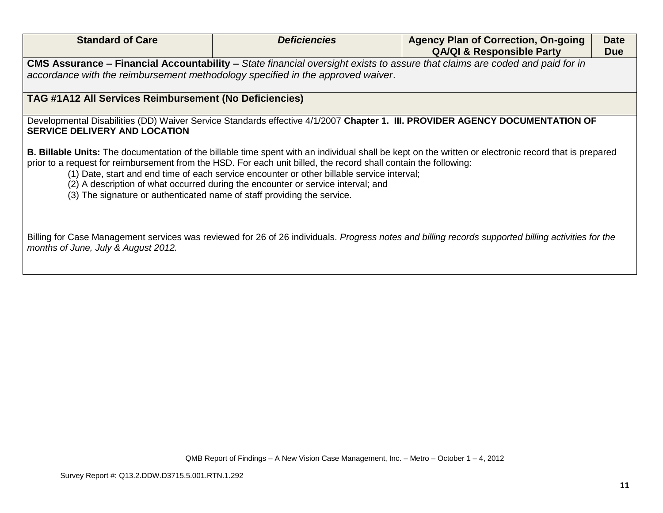| <b>Standard of Care</b>                                                                                                                                                                                                                                                                                                                                                       | <b>Deficiencies</b> | <b>Agency Plan of Correction, On-going</b><br><b>QA/QI &amp; Responsible Party</b>                                                                           | <b>Date</b><br><b>Due</b> |
|-------------------------------------------------------------------------------------------------------------------------------------------------------------------------------------------------------------------------------------------------------------------------------------------------------------------------------------------------------------------------------|---------------------|--------------------------------------------------------------------------------------------------------------------------------------------------------------|---------------------------|
| accordance with the reimbursement methodology specified in the approved waiver.                                                                                                                                                                                                                                                                                               |                     | CMS Assurance - Financial Accountability - State financial oversight exists to assure that claims are coded and paid for in                                  |                           |
| <b>TAG #1A12 All Services Reimbursement (No Deficiencies)</b>                                                                                                                                                                                                                                                                                                                 |                     |                                                                                                                                                              |                           |
| <b>SERVICE DELIVERY AND LOCATION</b>                                                                                                                                                                                                                                                                                                                                          |                     | Developmental Disabilities (DD) Waiver Service Standards effective 4/1/2007 Chapter 1. III. PROVIDER AGENCY DOCUMENTATION OF                                 |                           |
| prior to a request for reimbursement from the HSD. For each unit billed, the record shall contain the following:<br>(1) Date, start and end time of each service encounter or other billable service interval;<br>(2) A description of what occurred during the encounter or service interval; and<br>(3) The signature or authenticated name of staff providing the service. |                     | <b>B. Billable Units:</b> The documentation of the billable time spent with an individual shall be kept on the written or electronic record that is prepared |                           |
| months of June, July & August 2012.                                                                                                                                                                                                                                                                                                                                           |                     | Billing for Case Management services was reviewed for 26 of 26 individuals. Progress notes and billing records supported billing activities for the          |                           |